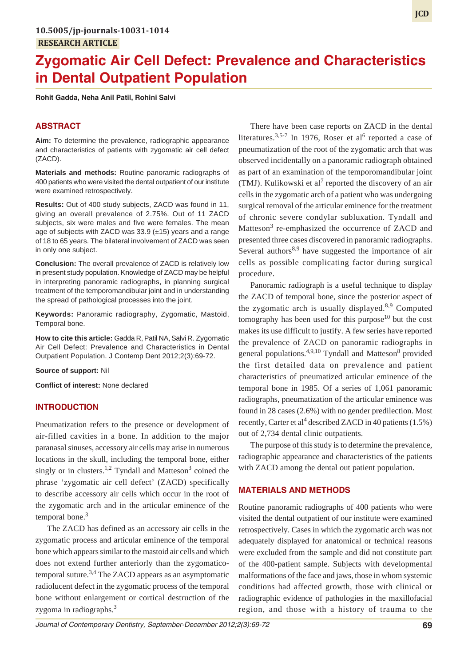# **Zygomatic Air Cell Defect: Prevalence and Characteristics in Dental Outpatient Population**

**Rohit Gadda, Neha Anil Patil, Rohini Salvi**

# **ABSTRACT**

**Aim:** To determine the prevalence, radiographic appearance and characteristics of patients with zygomatic air cell defect (ZACD).

**Materials and methods:** Routine panoramic radiographs of 400 patients who were visited the dental outpatient of our institute were examined retrospectively.

**Results:** Out of 400 study subjects, ZACD was found in 11, giving an overall prevalence of 2.75%. Out of 11 ZACD subjects, six were males and five were females. The mean age of subjects with ZACD was 33.9 (±15) years and a range of 18 to 65 years. The bilateral involvement of ZACD was seen in only one subject.

**Conclusion:** The overall prevalence of ZACD is relatively low in present study population. Knowledge of ZACD may be helpful in interpreting panoramic radiographs, in planning surgical treatment of the temporomandibular joint and in understanding the spread of pathological processes into the joint.

**Keywords:** Panoramic radiography, Zygomatic, Mastoid, Temporal bone.

**How to cite this article:** Gadda R, Patil NA, Salvi R. Zygomatic Air Cell Defect: Prevalence and Characteristics in Dental Outpatient Population. J Contemp Dent 2012;2(3):69-72.

**Source of support:** Nil

**Conflict of interest:** None declared

## **INTRODUCTION**

Pneumatization refers to the presence or development of air-filled cavities in a bone. In addition to the major paranasal sinuses, accessory air cells may arise in numerous locations in the skull, including the temporal bone, either singly or in clusters.<sup>1,2</sup> Tyndall and Matteson<sup>3</sup> coined the phrase 'zygomatic air cell defect' (ZACD) specifically to describe accessory air cells which occur in the root of the zygomatic arch and in the articular eminence of the temporal bone.<sup>3</sup>

The ZACD has defined as an accessory air cells in the zygomatic process and articular eminence of the temporal bone which appears similar to the mastoid air cells and which does not extend further anteriorly than the zygomaticotemporal suture.<sup>3,4</sup> The ZACD appears as an asymptomatic radiolucent defect in the zygomatic process of the temporal bone without enlargement or cortical destruction of the zygoma in radiographs.<sup>3</sup>

There have been case reports on ZACD in the dental literatures.<sup>3,5-7</sup> In 1976, Roser et al<sup>6</sup> reported a case of pneumatization of the root of the zygomatic arch that was observed incidentally on a panoramic radiograph obtained as part of an examination of the temporomandibular joint (TMJ). Kulikowski et al<sup>7</sup> reported the discovery of an air cells in the zygomatic arch of a patient who was undergoing surgical removal of the articular eminence for the treatment of chronic severe condylar subluxation. Tyndall and Matteson<sup>3</sup> re-emphasized the occurrence of ZACD and presented three cases discovered in panoramic radiographs. Several authors<sup>8,9</sup> have suggested the importance of air cells as possible complicating factor during surgical procedure.

Panoramic radiograph is a useful technique to display the ZACD of temporal bone, since the posterior aspect of the zygomatic arch is usually displayed. $8,9$  Computed tomography has been used for this purpose<sup>10</sup> but the cost makes its use difficult to justify. A few series have reported the prevalence of ZACD on panoramic radiographs in general populations.<sup>4,9,10</sup> Tyndall and Matteson<sup>8</sup> provided the first detailed data on prevalence and patient characteristics of pneumatized articular eminence of the temporal bone in 1985. Of a series of 1,061 panoramic radiographs, pneumatization of the articular eminence was found in 28 cases (2.6%) with no gender predilection. Most recently, Carter et al<sup>4</sup> described ZACD in 40 patients  $(1.5\%)$ out of 2,734 dental clinic outpatients.

The purpose of this study is to determine the prevalence, radiographic appearance and characteristics of the patients with ZACD among the dental out patient population.

## **MATERIALS AND METHODS**

Routine panoramic radiographs of 400 patients who were visited the dental outpatient of our institute were examined retrospectively. Cases in which the zygomatic arch was not adequately displayed for anatomical or technical reasons were excluded from the sample and did not constitute part of the 400-patient sample. Subjects with developmental malformations of the face and jaws, those in whom systemic conditions had affected growth, those with clinical or radiographic evidence of pathologies in the maxillofacial region, and those with a history of trauma to the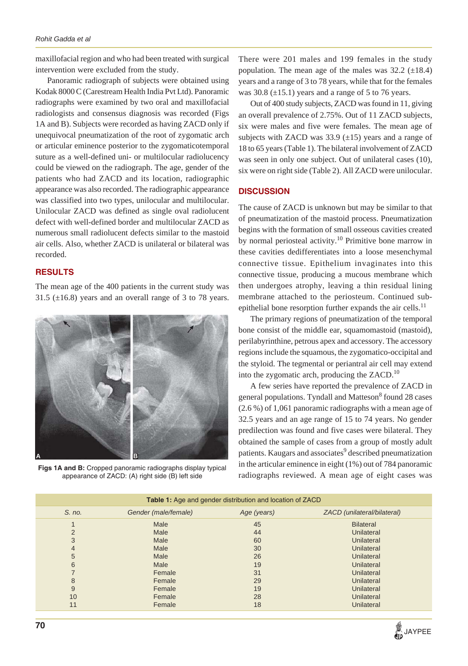maxillofacial region and who had been treated with surgical intervention were excluded from the study.

Panoramic radiograph of subjects were obtained using Kodak 8000 C (Carestream Health India Pvt Ltd). Panoramic radiographs were examined by two oral and maxillofacial radiologists and consensus diagnosis was recorded (Figs 1A and B). Subjects were recorded as having ZACD only if unequivocal pneumatization of the root of zygomatic arch or articular eminence posterior to the zygomaticotemporal suture as a well-defined uni- or multilocular radiolucency could be viewed on the radiograph. The age, gender of the patients who had ZACD and its location, radiographic appearance was also recorded. The radiographic appearance was classified into two types, unilocular and multilocular. Unilocular ZACD was defined as single oval radiolucent defect with well-defined border and multilocular ZACD as numerous small radiolucent defects similar to the mastoid air cells. Also, whether ZACD is unilateral or bilateral was recorded.

## **RESULTS**

The mean age of the 400 patients in the current study was 31.5 ( $\pm$ 16.8) years and an overall range of 3 to 78 years.



**Figs 1A and B:** Cropped panoramic radiographs display typical appearance of ZACD: (A) right side (B) left side

There were 201 males and 199 females in the study population. The mean age of the males was  $32.2 \pm 18.4$ ) years and a range of 3 to 78 years, while that for the females was  $30.8 \left( \pm 15.1 \right)$  years and a range of 5 to 76 years.

Out of 400 study subjects, ZACD was found in 11, giving an overall prevalence of 2.75%. Out of 11 ZACD subjects, six were males and five were females. The mean age of subjects with ZACD was  $33.9 \ (\pm 15)$  years and a range of 18 to 65 years (Table 1). The bilateral involvement of ZACD was seen in only one subject. Out of unilateral cases (10), six were on right side (Table 2). All ZACD were unilocular.

#### **DISCUSSION**

The cause of ZACD is unknown but may be similar to that of pneumatization of the mastoid process. Pneumatization begins with the formation of small osseous cavities created by normal periosteal activity.<sup>10</sup> Primitive bone marrow in these cavities dedifferentiates into a loose mesenchymal connective tissue. Epithelium invaginates into this connective tissue, producing a mucous membrane which then undergoes atrophy, leaving a thin residual lining membrane attached to the periosteum. Continued subepithelial bone resorption further expands the air cells.<sup>11</sup>

The primary regions of pneumatization of the temporal bone consist of the middle ear, squamomastoid (mastoid), perilabyrinthine, petrous apex and accessory. The accessory regions include the squamous, the zygomatico-occipital and the styloid. The tegmental or periantral air cell may extend into the zygomatic arch, producing the  $ZACD<sup>10</sup>$ .

A few series have reported the prevalence of ZACD in general populations. Tyndall and Matteson<sup>8</sup> found 28 cases (2.6 %) of 1,061 panoramic radiographs with a mean age of 32.5 years and an age range of 15 to 74 years. No gender predilection was found and five cases were bilateral. They obtained the sample of cases from a group of mostly adult patients. Kaugars and associates<sup>9</sup> described pneumatization in the articular eminence in eight (1%) out of 784 panoramic radiographs reviewed. A mean age of eight cases was

| <b>Table 1:</b> Age and gender distribution and location of ZACD |                      |             |                             |  |  |
|------------------------------------------------------------------|----------------------|-------------|-----------------------------|--|--|
| S. no.                                                           | Gender (male/female) | Age (years) | ZACD (unilateral/bilateral) |  |  |
|                                                                  | Male                 | 45          | <b>Bilateral</b>            |  |  |
| 2                                                                | Male                 | 44          | Unilateral                  |  |  |
| 3                                                                | Male                 | 60          | Unilateral                  |  |  |
| $\overline{4}$                                                   | Male                 | 30          | Unilateral                  |  |  |
| 5                                                                | Male                 | 26          | Unilateral                  |  |  |
| 6                                                                | Male                 | 19          | Unilateral                  |  |  |
|                                                                  | Female               | 31          | Unilateral                  |  |  |
| 8                                                                | Female               | 29          | Unilateral                  |  |  |
| 9                                                                | Female               | 19          | Unilateral                  |  |  |
| 10                                                               | Female               | 28          | Unilateral                  |  |  |
| 11                                                               | Female               | 18          | <b>Unilateral</b>           |  |  |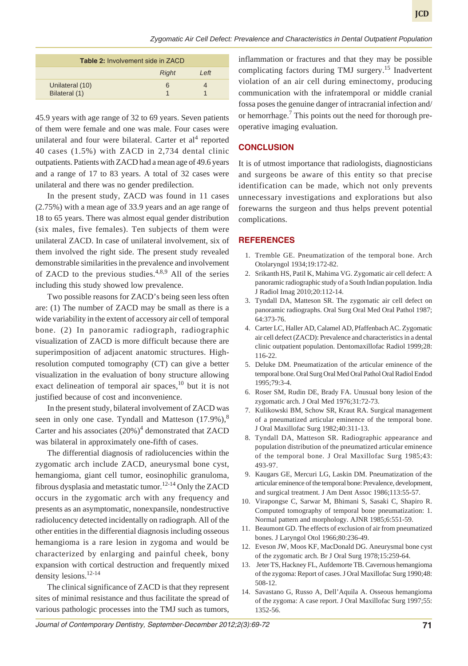| <b>Table 2: Involvement side in ZACD</b> |              |       |  |  |
|------------------------------------------|--------------|-------|--|--|
|                                          | <b>Right</b> | I eff |  |  |
| Unilateral (10)<br>Bilateral (1)         | 6            |       |  |  |

45.9 years with age range of 32 to 69 years. Seven patients of them were female and one was male. Four cases were unilateral and four were bilateral. Carter et  $al<sup>4</sup>$  reported 40 cases (1.5%) with ZACD in 2,734 dental clinic outpatients. Patients with ZACD had a mean age of 49.6 years and a range of 17 to 83 years. A total of 32 cases were unilateral and there was no gender predilection.

In the present study, ZACD was found in 11 cases (2.75%) with a mean age of 33.9 years and an age range of 18 to 65 years. There was almost equal gender distribution (six males, five females). Ten subjects of them were unilateral ZACD. In case of unilateral involvement, six of them involved the right side. The present study revealed demonstrable similarities in the prevalence and involvement of ZACD to the previous studies. $4,8,9$  All of the series including this study showed low prevalence.

Two possible reasons for ZACD's being seen less often are: (1) The number of ZACD may be small as there is a wide variability in the extent of accessory air cell of temporal bone. (2) In panoramic radiograph, radiographic visualization of ZACD is more difficult because there are superimposition of adjacent anatomic structures. Highresolution computed tomography (CT) can give a better visualization in the evaluation of bony structure allowing exact delineation of temporal air spaces,  $^{10}$  but it is not justified because of cost and inconvenience.

In the present study, bilateral involvement of ZACD was seen in only one case. Tyndall and Matteson  $(17.9\%)$ ,<sup>8</sup> Carter and his associates  $(20%)<sup>4</sup>$  demonstrated that ZACD was bilateral in approximately one-fifth of cases.

The differential diagnosis of radiolucencies within the zygomatic arch include ZACD, aneurysmal bone cyst, hemangioma, giant cell tumor, eosinophilic granuloma, fibrous dysplasia and metastatic tumor.<sup>12-14</sup> Only the ZACD occurs in the zygomatic arch with any frequency and presents as an asymptomatic, nonexpansile, nondestructive radiolucency detected incidentally on radiograph. All of the other entities in the differential diagnosis including osseous hemangioma is a rare lesion in zygoma and would be characterized by enlarging and painful cheek, bony expansion with cortical destruction and frequently mixed density lesions.12-14

The clinical significance of ZACD is that they represent sites of minimal resistance and thus facilitate the spread of various pathologic processes into the TMJ such as tumors,

inflammation or fractures and that they may be possible complicating factors during TMJ surgery.<sup>15</sup> Inadvertent violation of an air cell during eminectomy, producing communication with the infratemporal or middle cranial fossa poses the genuine danger of intracranial infection and/ or hemorrhage.<sup>7</sup> This points out the need for thorough preoperative imaging evaluation.

# **CONCLUSION**

It is of utmost importance that radiologists, diagnosticians and surgeons be aware of this entity so that precise identification can be made, which not only prevents unnecessary investigations and explorations but also forewarns the surgeon and thus helps prevent potential complications.

## **REFERENCES**

- 1. Tremble GE. Pneumatization of the temporal bone. Arch Otolaryngol 1934;19:172-82.
- 2. Srikanth HS, Patil K, Mahima VG. Zygomatic air cell defect: A panoramic radiographic study of a South Indian population. India J Radiol Imag 2010;20:112-14.
- 3. Tyndall DA, Matteson SR. The zygomatic air cell defect on panoramic radiographs. Oral Surg Oral Med Oral Pathol 1987; 64:373-76.
- 4. Carter LC, Haller AD, Calamel AD, Pfaffenbach AC. Zygomatic air cell defect (ZACD): Prevalence and characteristics in a dental clinic outpatient population. Dentomaxillofac Radiol 1999;28: 116-22.
- 5. Deluke DM. Pneumatization of the articular eminence of the temporal bone. Oral Surg Oral Med Oral Pathol Oral Radiol Endod 1995;79:3-4.
- 6. Roser SM, Rudin DE, Brady FA. Unusual bony lesion of the zygomatic arch. J Oral Med 1976;31:72-73.
- 7. Kulikowski BM, Schow SR, Kraut RA. Surgical management of a pneumatized articular eminence of the temporal bone. J Oral Maxillofac Surg 1982;40:311-13.
- 8. Tyndall DA, Matteson SR. Radiographic appearance and population distribution of the pneumatized articular eminence of the temporal bone. J Oral Maxillofac Surg 1985;43: 493-97.
- 9. Kaugars GE, Mercuri LG, Laskin DM. Pneumatization of the articular eminence of the temporal bone: Prevalence, development, and surgical treatment. J Am Dent Assoc 1986;113:55-57.
- 10. Virapongse C, Sarwar M, Bhimani S, Sasaki C, Shapiro R. Computed tomography of temporal bone pneumatization: 1. Normal pattern and morphology. AJNR 1985;6:551-59.
- 11. Beaumont GD. The effects of exclusion of air from pneumatized bones. J Laryngol Otol 1966;80:236-49.
- 12. Eveson JW, Moos KF, MacDonald DG. Aneurysmal bone cyst of the zygomatic arch. Br J Oral Surg 1978;15:259-64.
- 13. Jeter TS, Hackney FL, Aufdemorte TB. Cavernous hemangioma of the zygoma: Report of cases. J Oral Maxillofac Surg 1990;48: 508-12.
- 14. Savastano G, Russo A, Dell'Aquila A. Osseous hemangioma of the zygoma: A case report. J Oral Maxillofac Surg 1997;55: 1352-56.

*Journal of Contemporary Dentistry, September-December 2012;2(3):69-72* **71**